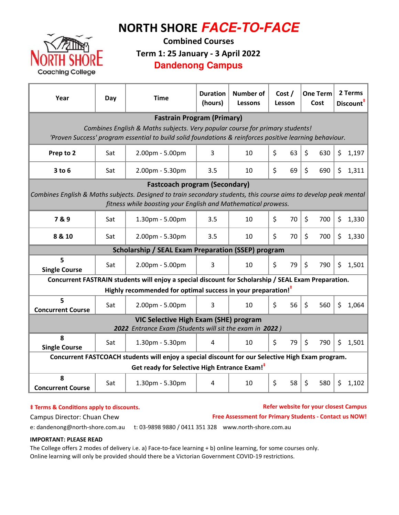# NORTH SHORE **FACE-TO-FACE**



Combined Courses Term 1: 25 January - 3 April 2022

### **Dandenong Campus**

| Year                                                                                                                                                                              | Day | <b>Time</b>                                                              | <b>Duration</b><br>(hours) | Number of<br>Lessons | Cost /<br>Lesson | <b>One Term</b><br>Cost   | 2 Terms<br>Discount <sup>#</sup> |  |  |  |  |  |
|-----------------------------------------------------------------------------------------------------------------------------------------------------------------------------------|-----|--------------------------------------------------------------------------|----------------------------|----------------------|------------------|---------------------------|----------------------------------|--|--|--|--|--|
| <b>Fastrain Program (Primary)</b>                                                                                                                                                 |     |                                                                          |                            |                      |                  |                           |                                  |  |  |  |  |  |
| Combines English & Maths subjects. Very popular course for primary students!                                                                                                      |     |                                                                          |                            |                      |                  |                           |                                  |  |  |  |  |  |
| 'Proven Success' program essential to build solid foundations & reinforces positive learning behaviour.                                                                           |     |                                                                          |                            |                      |                  |                           |                                  |  |  |  |  |  |
| Prep to 2                                                                                                                                                                         | Sat | 2.00pm - 5.00pm                                                          | 3                          | 10                   | \$<br>63         | \$<br>630                 | \$<br>1,197                      |  |  |  |  |  |
| $3$ to $6$                                                                                                                                                                        | Sat | 2.00pm - 5.30pm                                                          | 3.5                        | 10                   | \$<br>69         | \$<br>690                 | \$<br>1,311                      |  |  |  |  |  |
| <b>Fastcoach program (Secondary)</b>                                                                                                                                              |     |                                                                          |                            |                      |                  |                           |                                  |  |  |  |  |  |
| Combines English & Maths subjects. Designed to train secondary students, this course aims to develop peak mental<br>fitness while boosting your English and Mathematical prowess. |     |                                                                          |                            |                      |                  |                           |                                  |  |  |  |  |  |
| 7&9                                                                                                                                                                               | Sat | 1.30pm - 5.00pm                                                          | 3.5                        | 10                   | \$<br>70         | \$<br>700                 | \$<br>1,330                      |  |  |  |  |  |
| 8 & 10                                                                                                                                                                            | Sat | 2.00pm - 5.30pm                                                          | 3.5                        | 10                   | \$<br>70         | \$<br>700                 | \$<br>1,330                      |  |  |  |  |  |
| Scholarship / SEAL Exam Preparation (SSEP) program                                                                                                                                |     |                                                                          |                            |                      |                  |                           |                                  |  |  |  |  |  |
| 5<br><b>Single Course</b>                                                                                                                                                         | Sat | 2.00pm - 5.00pm                                                          | 3                          | 10                   | \$<br>79         | \$<br>790                 | \$<br>1,501                      |  |  |  |  |  |
| Concurrent FASTRAIN students will enjoy a special discount for Scholarship / SEAL Exam Preparation.                                                                               |     |                                                                          |                            |                      |                  |                           |                                  |  |  |  |  |  |
|                                                                                                                                                                                   |     | Highly recommended for optimal success in your preparation! <sup>†</sup> |                            |                      |                  |                           |                                  |  |  |  |  |  |
| 5<br><b>Concurrent Course</b>                                                                                                                                                     | Sat | 2.00pm - 5.00pm                                                          | 3                          | 10                   | \$<br>56         | \$<br>560                 | \$<br>1,064                      |  |  |  |  |  |
|                                                                                                                                                                                   |     | VIC Selective High Exam (SHE) program                                    |                            |                      |                  |                           |                                  |  |  |  |  |  |
| 2022 Entrance Exam (Students will sit the exam in 2022)                                                                                                                           |     |                                                                          |                            |                      |                  |                           |                                  |  |  |  |  |  |
| 8<br><b>Single Course</b>                                                                                                                                                         | Sat | 1.30pm - 5.30pm                                                          | 4                          | 10                   | \$<br>79         | $\mathsf{\dot{S}}$<br>790 | \$<br>1,501                      |  |  |  |  |  |
| Concurrent FASTCOACH students will enjoy a special discount for our Selective High Exam program.                                                                                  |     |                                                                          |                            |                      |                  |                           |                                  |  |  |  |  |  |
| Get ready for Selective High Entrance Exam! <sup>#</sup>                                                                                                                          |     |                                                                          |                            |                      |                  |                           |                                  |  |  |  |  |  |
| 8<br><b>Concurrent Course</b>                                                                                                                                                     | Sat | 1.30pm - 5.30pm                                                          | 4                          | 10                   | \$<br>58         | \$<br>580                 | \$<br>1,102                      |  |  |  |  |  |

### $\dagger$  Terms & Conditions apply to discounts.

### Refer website for your closest Campus

Campus Director: Chuan Chew

#### Free Assessment for Primary Students - Contact us NOW!

e: dandenong@north-shore.com.au t: 03-9898 9880 / 0411 351 328 www.north-shore.com.au

### IMPORTANT: PLEASE READ

The College offers 2 modes of delivery i.e. a) Face-to-face learning + b) online learning, for some courses only. Online learning will only be provided should there be a Victorian Government COVID-19 restrictions.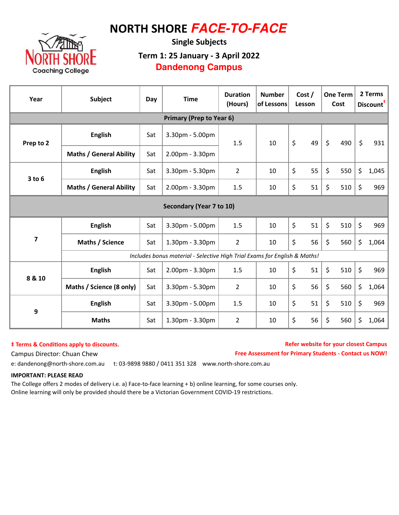## NORTH SHORE **FACE-TO-FACE**



Single Subjects Term 1: 25 January - 3 April 2022 **Dandenong Campus**

| Year                            | <b>Subject</b>                                                            | Day | <b>Time</b>     | <b>Duration</b><br>(Hours) | <b>Number</b><br>of Lessons | Cost /<br>Lesson | <b>One Term</b><br>Cost | 2 Terms<br>Discount <sup>#</sup> |       |  |  |
|---------------------------------|---------------------------------------------------------------------------|-----|-----------------|----------------------------|-----------------------------|------------------|-------------------------|----------------------------------|-------|--|--|
| <b>Primary (Prep to Year 6)</b> |                                                                           |     |                 |                            |                             |                  |                         |                                  |       |  |  |
| Prep to 2                       | <b>English</b>                                                            | Sat | 3.30pm - 5.00pm | 1.5                        | 10                          | \$<br>49         | $\zeta$<br>490          | \$                               | 931   |  |  |
|                                 | <b>Maths / General Ability</b>                                            | Sat | 2.00pm - 3.30pm |                            |                             |                  |                         |                                  |       |  |  |
| $3$ to $6$                      | <b>English</b>                                                            | Sat | 3.30pm - 5.30pm | $\overline{2}$             | 10                          | \$<br>55         | \$<br>550               | \$                               | 1,045 |  |  |
|                                 | <b>Maths / General Ability</b>                                            | Sat | 2.00pm - 3.30pm | 1.5                        | 10                          | \$<br>51         | \$<br>510               | \$                               | 969   |  |  |
| Secondary (Year 7 to 10)        |                                                                           |     |                 |                            |                             |                  |                         |                                  |       |  |  |
| $\overline{\mathbf{z}}$         | <b>English</b><br>Sat                                                     |     | 3.30pm - 5.00pm | 1.5                        | 10                          | \$<br>51         | \$<br>510               | $\zeta$                          | 969   |  |  |
|                                 | Maths / Science                                                           | Sat | 1.30pm - 3.30pm | $\overline{2}$             | 10                          | \$<br>56         | \$<br>560               | \$                               | 1,064 |  |  |
|                                 | Includes bonus material - Selective High Trial Exams for English & Maths! |     |                 |                            |                             |                  |                         |                                  |       |  |  |
| 8 & 10                          | <b>English</b>                                                            | Sat | 2.00pm - 3.30pm | 1.5                        | 10                          | \$<br>51         | \$<br>510               | \$                               | 969   |  |  |
|                                 | Maths / Science (8 only)                                                  | Sat | 3.30pm - 5.30pm | $\overline{2}$             | 10                          | \$<br>56         | \$<br>560               | \$                               | 1,064 |  |  |
| 9                               | <b>English</b>                                                            | Sat | 3.30pm - 5.00pm | 1.5                        | 10                          | \$<br>51         | \$<br>510               | \$                               | 969   |  |  |
|                                 | <b>Maths</b>                                                              | Sat | 1.30pm - 3.30pm | 2                          | 10                          | \$<br>56         | \$<br>560               | \$                               | 1,064 |  |  |

### $‡$  Terms & Conditions apply to discounts.

Campus Director: Chuan Chew Free Assessment for Primary Students - Contact us NOW! Refer website for your closest Campus

e: dandenong@north-shore.com.au t: 03-9898 9880 / 0411 351 328 www.north-shore.com.au

### IMPORTANT: PLEASE READ

The College offers 2 modes of delivery i.e. a) Face-to-face learning + b) online learning, for some courses only. Online learning will only be provided should there be a Victorian Government COVID-19 restrictions.